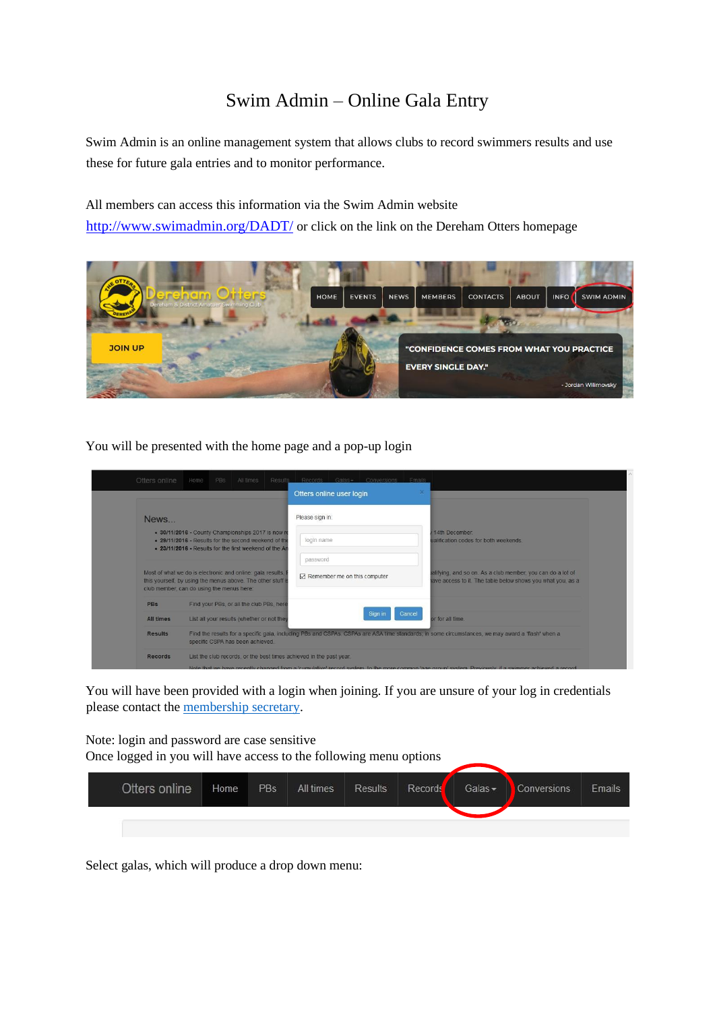## Swim Admin – Online Gala Entry

Swim Admin is an online management system that allows clubs to record swimmers results and use these for future gala entries and to monitor performance.

All members can access this information via the Swim Admin website

http://www.swimadmin.org/DADT/ or click on the link on the Dereham Otters homepage



You will be presented with the home page and a pop-up login

|                |                                           |                                                                                                                                                                      | Otters online user login |                                               |        |                                                                                                                                                   |
|----------------|-------------------------------------------|----------------------------------------------------------------------------------------------------------------------------------------------------------------------|--------------------------|-----------------------------------------------|--------|---------------------------------------------------------------------------------------------------------------------------------------------------|
| News.          |                                           |                                                                                                                                                                      | Please sign in:          |                                               |        |                                                                                                                                                   |
|                |                                           | . 30/11/2016 - County Championships 2017 is now re<br>. 29/11/2016 - Results for the second weekend of the<br>. 23/11/2016 - Results for the first weekend of the An | login name               |                                               |        | 14th December<br>ualification codes for both weekends.                                                                                            |
|                |                                           |                                                                                                                                                                      | password                 |                                               |        |                                                                                                                                                   |
|                | club member, can do using the menus here: | Most of what we do is electronic and online: gala results.<br>this yourself, by using the menus above. The other stuff is                                            |                          | $\triangleright$ Remember me on this computer |        | ialifying, and so on. As a club member, you can do a lot of<br>have access to it. The table below shows you what you, as a                        |
| <b>PBs</b>     |                                           | Find your PBs, or all the club PBs, here                                                                                                                             |                          |                                               |        |                                                                                                                                                   |
| All times      |                                           | List all your results (whether or not they                                                                                                                           |                          | Sign in                                       | Cancel | or for all time.                                                                                                                                  |
| <b>Results</b> |                                           | specific CSPA has been achieved.                                                                                                                                     |                          |                                               |        | Find the results for a specific gala, including PBs and CSPAs. CSPAs are ASA time standards, in some circumstances, we may award a 'flash' when a |

You will have been provided with a login when joining. If you are unsure of your log in credentials please contact the [membership secretary.](https://www.derehamotters.org.uk/contactsnew/)

Note: login and password are case sensitive Once logged in you will have access to the following menu options

| Otters online | Home | PBs | All times | <b>Results</b> | Records | Galas $-$ | Conversions | Emails |
|---------------|------|-----|-----------|----------------|---------|-----------|-------------|--------|
|               |      |     |           |                |         |           |             |        |

Select galas, which will produce a drop down menu: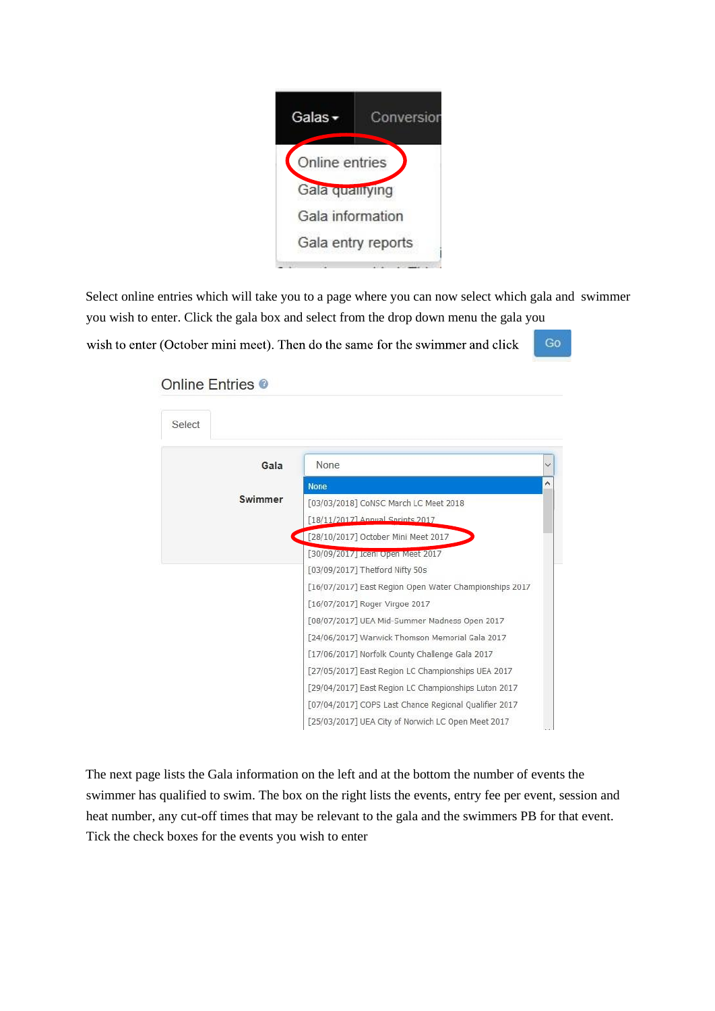

Select online entries which will take you to a page where you can now select which gala and swimmer you wish to enter. Click the gala box and select from the drop down menu the gala you

wish to enter (October mini meet). Then do the same for the swimmer and click

Go

## Online Entries <sup>®</sup>



The next page lists the Gala information on the left and at the bottom the number of events the swimmer has qualified to swim. The box on the right lists the events, entry fee per event, session and heat number, any cut-off times that may be relevant to the gala and the swimmers PB for that event. Tick the check boxes for the events you wish to enter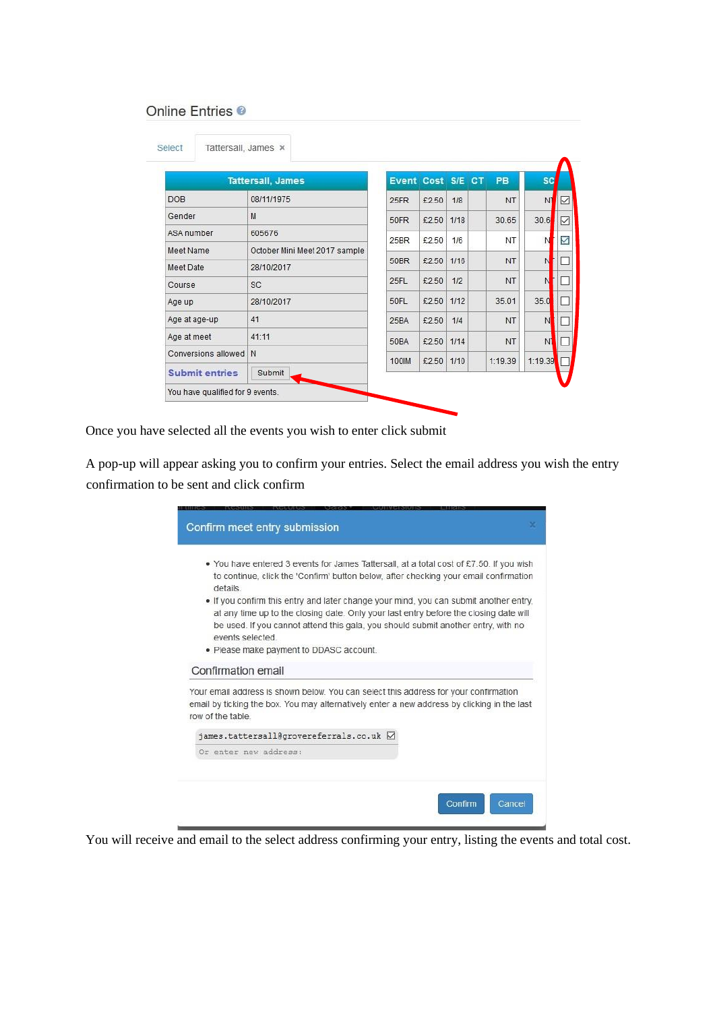## Online Entries <sup>®</sup>

|                       | <b>Tattersall, James</b>      | Event Cost S/E CT |            |      | <b>PB</b> | <b>SC</b>      |              |
|-----------------------|-------------------------------|-------------------|------------|------|-----------|----------------|--------------|
| <b>DOB</b>            | 08/11/1975                    | 25FR              | £2.50      | 1/8  | <b>NT</b> | N <sub>1</sub> | $\checkmark$ |
| Gender                | M                             | 50FR              | £2.50      | 1/18 | 30.65     | 30.6           | ☑            |
| ASA number            | 605676                        | 25BR              | £2.50      | 1/6  | <b>NT</b> | N              | ☑            |
| Meet Name             | October Mini Meet 2017 sample |                   |            |      |           |                |              |
| Meet Date             | 28/10/2017                    | 50BR              | £2.50      | 1/16 | NT        | N              |              |
| Course                | <b>SC</b>                     | 25FL              | £2.50      | 1/2  | NT        | N              | ш            |
| Age up                | 28/10/2017                    | 50FL              | £2.50 1/12 |      | 35.01     | 35.0           |              |
| Age at age-up         | 41                            | 25BA              | £2.50      | 1/4  | <b>NT</b> | N              |              |
| Age at meet           | 41:11                         | 50BA              | £2.50      | 1/14 | NT        | N <sub>1</sub> |              |
| Conversions allowed   | N                             | 100 <sub>IM</sub> | £2.50 1/10 |      | 1:19.39   | 1:19.39        |              |
| <b>Submit entries</b> | Submit                        |                   |            |      |           |                |              |

Once you have selected all the events you wish to enter click submit

A pop-up will appear asking you to confirm your entries. Select the email address you wish the entry confirmation to be sent and click confirm

| Confirm meet entry submission                                                                                                                                                                                                                                                                                                                                                                                                                                                         |  |
|---------------------------------------------------------------------------------------------------------------------------------------------------------------------------------------------------------------------------------------------------------------------------------------------------------------------------------------------------------------------------------------------------------------------------------------------------------------------------------------|--|
| • You have entered 3 events for James Tattersall, at a total cost of £7.50. If you wish<br>to continue, click the 'Confirm' button below, after checking your email confirmation<br>details<br>. If you confirm this entry and later change your mind, you can submit another entry,<br>at any time up to the closing date. Only your last entry before the closing date will<br>be used. If you cannot attend this gala, you should submit another entry, with no<br>events selected |  |
| . Please make payment to DDASC account.<br>Confirmation email                                                                                                                                                                                                                                                                                                                                                                                                                         |  |
| Your email address is shown below. You can select this address for your confirmation<br>email by ticking the box. You may alternatively enter a new address by clicking in the last<br>row of the table                                                                                                                                                                                                                                                                               |  |
| james.tattersall@grovereferrals.co.uk ⊠<br>Or enter new address:                                                                                                                                                                                                                                                                                                                                                                                                                      |  |
| Cancel<br>Confirm                                                                                                                                                                                                                                                                                                                                                                                                                                                                     |  |

You will receive and email to the select address confirming your entry, listing the events and total cost.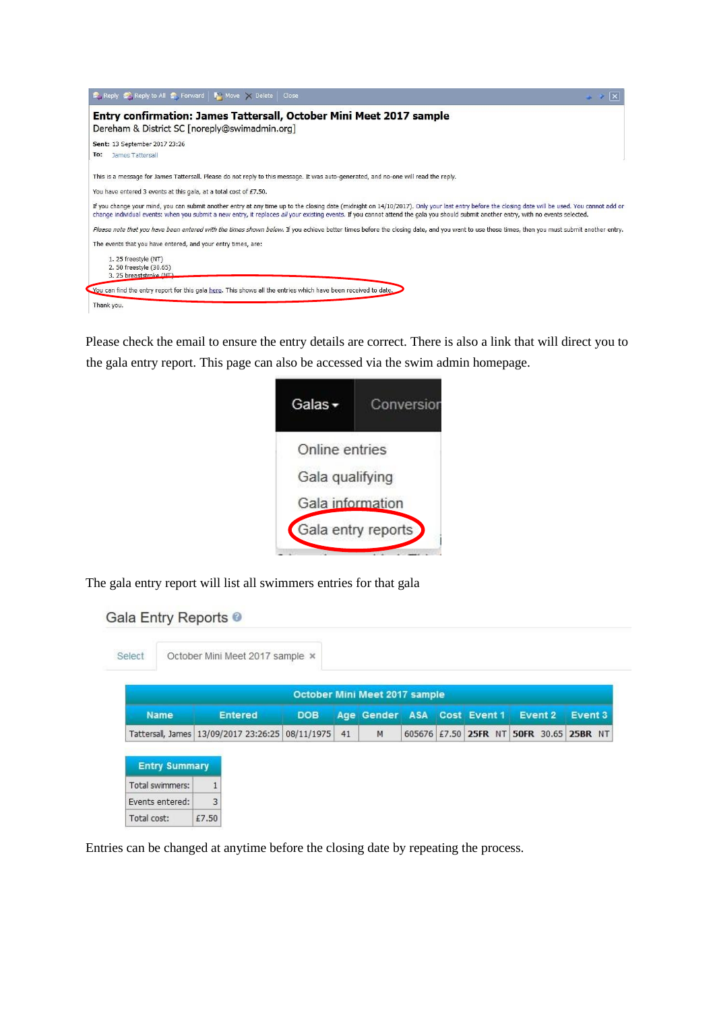

Please check the email to ensure the entry details are correct. There is also a link that will direct you to the gala entry report. This page can also be accessed via the swim admin homepage.

| Galas <del>-</del> | Conversion |
|--------------------|------------|
| Online entries     |            |
| Gala qualifying    |            |
| Gala information   |            |
| Gala entry reports |            |
|                    |            |

The gala entry report will list all swimmers entries for that gala

|  | Gala Entry Reports <sup>@</sup> |  |
|--|---------------------------------|--|
|  |                                 |  |
|  |                                 |  |

| Select               |                                                  | October Mini Meet 2017 sample x |            |    |                               |  |                             |                                         |         |
|----------------------|--------------------------------------------------|---------------------------------|------------|----|-------------------------------|--|-----------------------------|-----------------------------------------|---------|
|                      |                                                  |                                 |            |    | October Mini Meet 2017 sample |  |                             |                                         |         |
| <b>Name</b>          |                                                  | <b>Entered</b>                  | <b>DOB</b> |    |                               |  | Age Gender ASA Cost Event 1 | <b>Event 2</b>                          | Event 3 |
|                      | Tattersall, James 13/09/2017 23:26:25 08/11/1975 |                                 |            | 41 | M                             |  |                             | 605676 £7.50 25FR NT 50FR 30.65 25BR NT |         |
| <b>Entry Summary</b> |                                                  |                                 |            |    |                               |  |                             |                                         |         |
| Total swimmers:      |                                                  |                                 |            |    |                               |  |                             |                                         |         |
| Events entered:      | 3                                                |                                 |            |    |                               |  |                             |                                         |         |
|                      |                                                  |                                 |            |    |                               |  |                             |                                         |         |

Entries can be changed at anytime before the closing date by repeating the process.